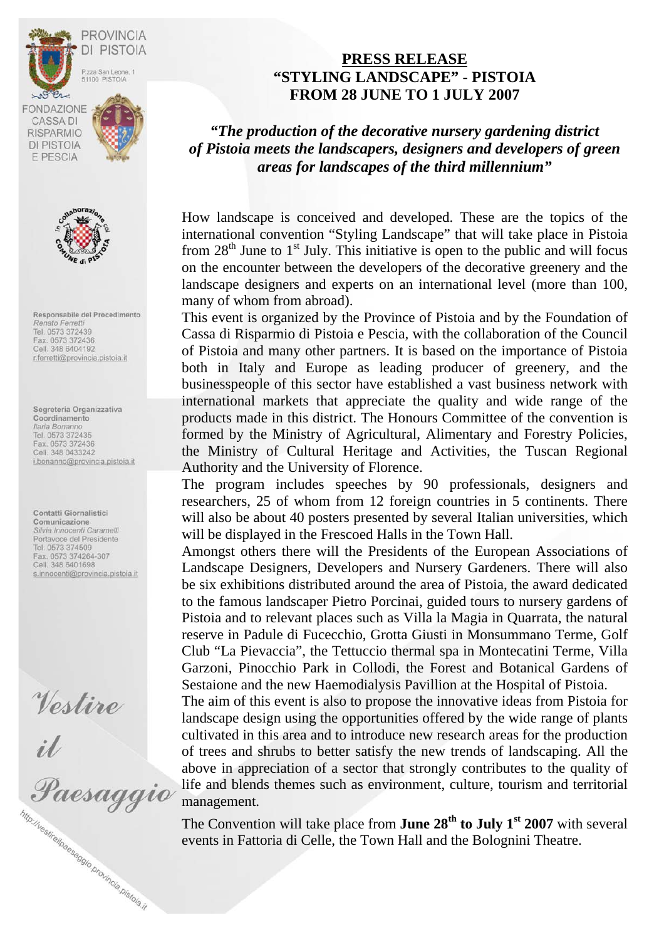



Responsabile del Procedimento Renato Ferretti Tel. 0573 372439 Fax. 0573 372436 Cell. 348 6404192 r.ferretti@provincia.pistoia.it

Segreteria Organizzativa Coordinamento Ilaria Bonanno Tel. 0573 372435 Fax. 0573 372436 Cell. 348 0433242 i.bonanno@provincia.pistoia.it

Contatti Giornalistici Comunicazione<br>Silvia Innocenti Caramelli Portavoce del Presidente Tel. 0573 374509 Fax. 0573 374264-307<br>Cell. 348 6401698 s.innocenti@provincia.pistoia.it

Vestire<br>il<br>Paesaggio http://vestirelpaesaggio.provincia.pistoja.jt

# **PRESS RELEASE "STYLING LANDSCAPE" - PISTOIA FROM 28 JUNE TO 1 JULY 2007**

*"The production of the decorative nursery gardening district of Pistoia meets the landscapers, designers and developers of green areas for landscapes of the third millennium"* 

How landscape is conceived and developed. These are the topics of the international convention "Styling Landscape" that will take place in Pistoia from  $28<sup>th</sup>$  June to  $1<sup>st</sup>$  July. This initiative is open to the public and will focus on the encounter between the developers of the decorative greenery and the landscape designers and experts on an international level (more than 100, many of whom from abroad).

This event is organized by the Province of Pistoia and by the Foundation of Cassa di Risparmio di Pistoia e Pescia, with the collaboration of the Council of Pistoia and many other partners. It is based on the importance of Pistoia both in Italy and Europe as leading producer of greenery, and the businesspeople of this sector have established a vast business network with international markets that appreciate the quality and wide range of the products made in this district. The Honours Committee of the convention is formed by the Ministry of Agricultural, Alimentary and Forestry Policies, the Ministry of Cultural Heritage and Activities, the Tuscan Regional Authority and the University of Florence.

The program includes speeches by 90 professionals, designers and researchers, 25 of whom from 12 foreign countries in 5 continents. There will also be about 40 posters presented by several Italian universities, which will be displayed in the Frescoed Halls in the Town Hall.

Amongst others there will the Presidents of the European Associations of Landscape Designers, Developers and Nursery Gardeners. There will also be six exhibitions distributed around the area of Pistoia, the award dedicated to the famous landscaper Pietro Porcinai, guided tours to nursery gardens of Pistoia and to relevant places such as Villa la Magia in Quarrata, the natural reserve in Padule di Fucecchio, Grotta Giusti in Monsummano Terme, Golf Club "La Pievaccia", the Tettuccio thermal spa in Montecatini Terme, Villa Garzoni, Pinocchio Park in Collodi, the Forest and Botanical Gardens of Sestaione and the new Haemodialysis Pavillion at the Hospital of Pistoia.

The aim of this event is also to propose the innovative ideas from Pistoia for landscape design using the opportunities offered by the wide range of plants cultivated in this area and to introduce new research areas for the production of trees and shrubs to better satisfy the new trends of landscaping. All the above in appreciation of a sector that strongly contributes to the quality of life and blends themes such as environment, culture, tourism and territorial management.

The Convention will take place from **June 28<sup>th</sup> to July 1<sup>st</sup> 2007** with several events in Fattoria di Celle, the Town Hall and the Bolognini Theatre.